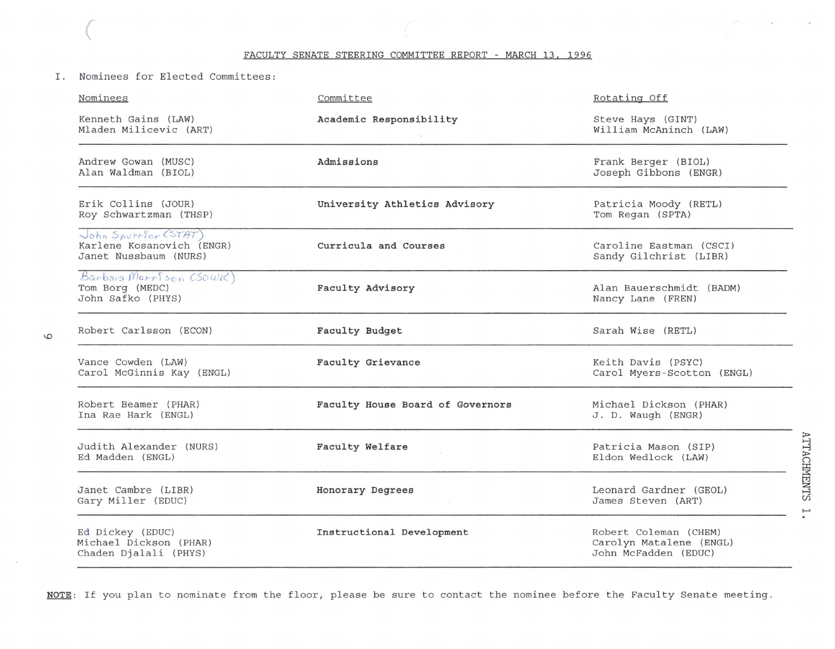FACULTY SENATE STEERING COMMITTEE REPORT - MARCH 13, 1996

I. Nominees for Elected Committees:

(

 $\circ$ 

| Nominees                                                                   | Committee                        | Rotating Off                                                             |
|----------------------------------------------------------------------------|----------------------------------|--------------------------------------------------------------------------|
| Kenneth Gains (LAW)<br>Mladen Milicevic (ART)                              | Academic Responsibility          | Steve Hays (GINT)<br>William McAninch (LAW)                              |
| Andrew Gowan (MUSC)<br>Alan Waldman (BIOL)                                 | Admissions                       | Frank Berger (BIOL)<br>Joseph Gibbons (ENGR)                             |
| Erik Collins (JOUR)<br>Roy Schwartzman (THSP)                              | University Athletics Advisory    | Patricia Moody (RETL)<br>Tom Regan (SPTA)                                |
| John Spurrier (STAT)<br>Karlene Kosanovich (ENGR)<br>Janet Nussbaum (NURS) | Curricula and Courses            | Caroline Eastman (CSCI)<br>Sandy Gilchrist (LIBR)                        |
| Barbara Morrison (Sowic)<br>Tom Borg (MEDC)<br>John Safko (PHYS)           | Faculty Advisory                 | Alan Bauerschmidt (BADM)<br>Nancy Lane (FREN)                            |
| Robert Carlsson (ECON)                                                     | Faculty Budget                   | Sarah Wise (RETL)                                                        |
| Vance Cowden (LAW)<br>Carol McGinnis Kay (ENGL)                            | Faculty Grievance                | Keith Davis (PSYC)<br>Carol Myers-Scotton (ENGL)                         |
| Robert Beamer (PHAR)<br>Ina Rae Hark (ENGL)                                | Faculty House Board of Governors | Michael Dickson (PHAR)<br>J. D. Waugh (ENGR)                             |
| Judith Alexander (NURS)<br>Ed Madden (ENGL)                                | Faculty Welfare                  | Patricia Mason (SIP)<br>Eldon Wedlock (LAW)                              |
| Janet Cambre (LIBR)<br>Gary Miller (EDUC)                                  | Honorary Degrees                 | Leonard Gardner (GEOL)<br>James Steven (ART)                             |
| Ed Dickey (EDUC)<br>Michael Dickson (PHAR)<br>Chaden Djalali (PHYS)        | Instructional Development        | Robert Coleman (CHEM)<br>Carolyn Matalene (ENGL)<br>John McFadden (EDUC) |

**NOTE:** If you plan to nominate from the floor, please be sure to contact the nominee before the Faculty Senate meeting.